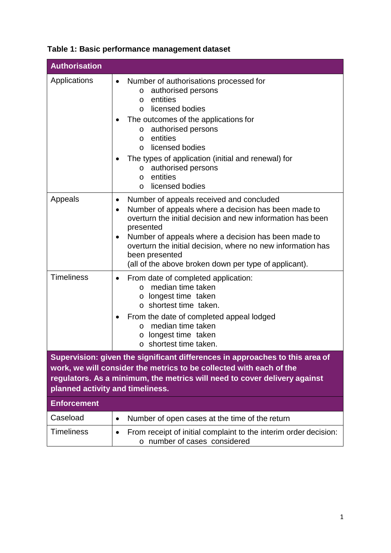| <b>Authorisation</b>                                                                                                                                                                                                                                                 |                                                                                                                                                                                                                                                                                                                                                                                                                    |
|----------------------------------------------------------------------------------------------------------------------------------------------------------------------------------------------------------------------------------------------------------------------|--------------------------------------------------------------------------------------------------------------------------------------------------------------------------------------------------------------------------------------------------------------------------------------------------------------------------------------------------------------------------------------------------------------------|
| Applications                                                                                                                                                                                                                                                         | Number of authorisations processed for<br>٠<br>authorised persons<br>$\circ$<br>entities<br>$\circ$<br>licensed bodies<br>$\Omega$<br>The outcomes of the applications for<br>authorised persons<br>$\circ$<br>entities<br>$\circ$<br>licensed bodies<br>$\Omega$<br>The types of application (initial and renewal) for<br>authorised persons<br>$\circ$<br>entities<br>$\circ$<br>licensed bodies<br>$\Omega$     |
| Appeals                                                                                                                                                                                                                                                              | Number of appeals received and concluded<br>$\bullet$<br>Number of appeals where a decision has been made to<br>$\bullet$<br>overturn the initial decision and new information has been<br>presented<br>Number of appeals where a decision has been made to<br>$\bullet$<br>overturn the initial decision, where no new information has<br>been presented<br>(all of the above broken down per type of applicant). |
| <b>Timeliness</b>                                                                                                                                                                                                                                                    | From date of completed application:<br>$\bullet$<br>median time taken<br>$\Omega$<br>o longest time taken<br>$\circ$ shortest time taken.<br>From the date of completed appeal lodged<br>median time taken<br>$\circ$<br>longest time taken<br>$\circ$<br>o shortest time taken.                                                                                                                                   |
| Supervision: given the significant differences in approaches to this area of<br>work, we will consider the metrics to be collected with each of the<br>regulators. As a minimum, the metrics will need to cover delivery against<br>planned activity and timeliness. |                                                                                                                                                                                                                                                                                                                                                                                                                    |
| <b>Enforcement</b>                                                                                                                                                                                                                                                   |                                                                                                                                                                                                                                                                                                                                                                                                                    |
| Caseload                                                                                                                                                                                                                                                             | Number of open cases at the time of the return<br>$\bullet$                                                                                                                                                                                                                                                                                                                                                        |
| <b>Timeliness</b>                                                                                                                                                                                                                                                    | From receipt of initial complaint to the interim order decision:<br>number of cases considered                                                                                                                                                                                                                                                                                                                     |

## **Table 1: Basic performance management dataset**